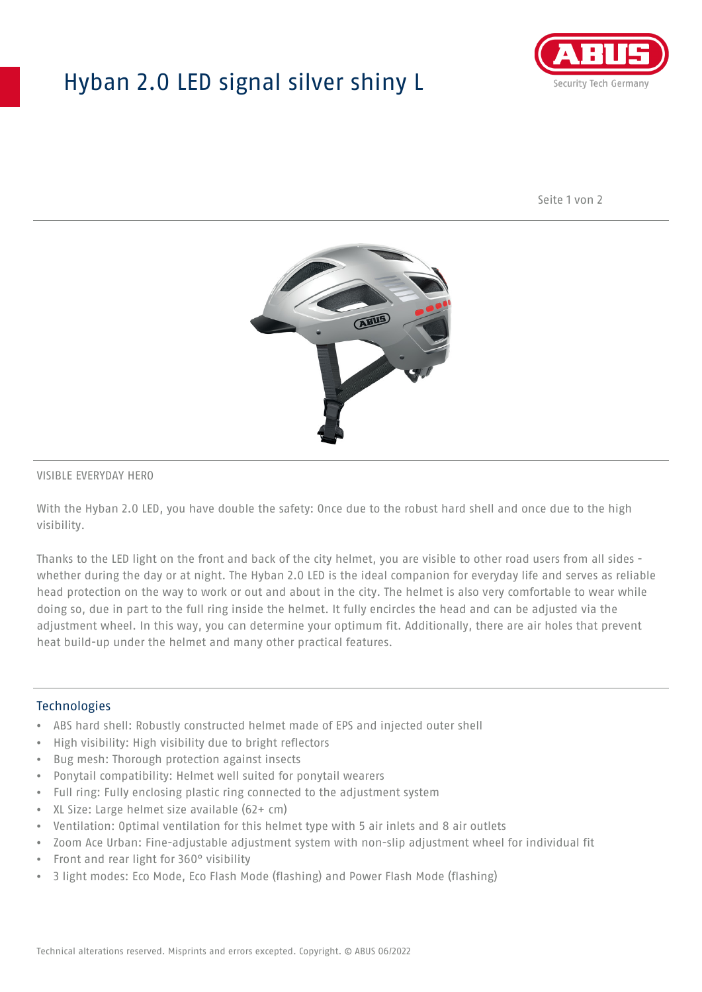## Hyban 2.0 LED signal silver shiny L



Seite 1 von 2



#### VISIBLE EVERYDAY HERO

With the Hyban 2.0 LED, you have double the safety: Once due to the robust hard shell and once due to the high visibility.

Thanks to the LED light on the front and back of the city helmet, you are visible to other road users from all sides whether during the day or at night. The Hyban 2.0 LED is the ideal companion for everyday life and serves as reliable head protection on the way to work or out and about in the city. The helmet is also very comfortable to wear while doing so, due in part to the full ring inside the helmet. It fully encircles the head and can be adjusted via the adjustment wheel. In this way, you can determine your optimum fit. Additionally, there are air holes that prevent heat build-up under the helmet and many other practical features.

#### Technologies

- ABS hard shell: Robustly constructed helmet made of EPS and injected outer shell
- High visibility: High visibility due to bright reflectors
- Bug mesh: Thorough protection against insects
- Ponytail compatibility: Helmet well suited for ponytail wearers
- Full ring: Fully enclosing plastic ring connected to the adjustment system
- XL Size: Large helmet size available (62+ cm)
- Ventilation: Optimal ventilation for this helmet type with 5 air inlets and 8 air outlets
- Zoom Ace Urban: Fine-adjustable adjustment system with non-slip adjustment wheel for individual fit
- Front and rear light for 360° visibility
- 3 light modes: Eco Mode, Eco Flash Mode (flashing) and Power Flash Mode (flashing)